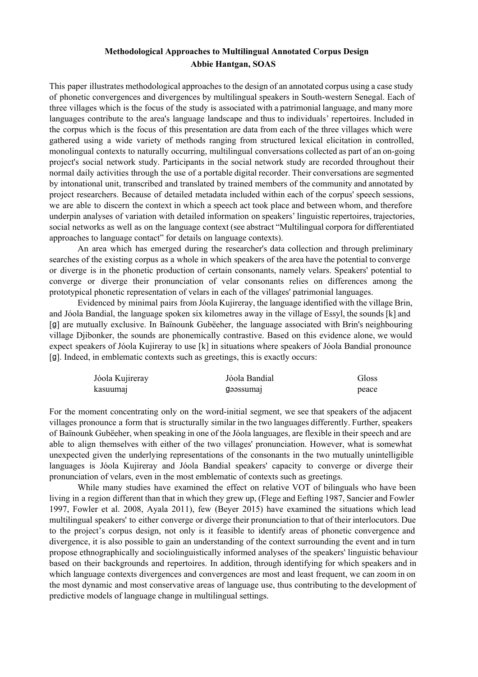## **Methodological Approaches to Multilingual Annotated Corpus Design Abbie Hantgan, SOAS**

This paper illustrates methodological approaches to the design of an annotated corpus using a case study of phonetic convergences and divergences by multilingual speakers in South-western Senegal. Each of three villages which is the focus of the study is associated with a patrimonial language, and many more languages contribute to the area's language landscape and thus to individuals' repertoires. Included in the corpus which is the focus of this presentation are data from each of the three villages which were gathered using a wide variety of methods ranging from structured lexical elicitation in controlled, monolingual contexts to naturally occurring, multilingual conversations collected as part of an on-going project's social network study. Participants in the social network study are recorded throughout their normal daily activities through the use of a portable digital recorder. Their conversations are segmented by intonational unit, transcribed and translated by trained members of the community and annotated by project researchers. Because of detailed metadata included within each of the corpus' speech sessions, we are able to discern the context in which a speech act took place and between whom, and therefore underpin analyses of variation with detailed information on speakers' linguistic repertoires, trajectories, social networks as well as on the language context (see abstract "Multilingual corpora for differentiated approaches to language contact" for details on language contexts).

An area which has emerged during the researcher's data collection and through preliminary searches of the existing corpus as a whole in which speakers of the area have the potential to converge or diverge is in the phonetic production of certain consonants, namely velars. Speakers' potential to converge or diverge their pronunciation of velar consonants relies on differences among the prototypical phonetic representation of velars in each of the villages' patrimonial languages.

Evidenced by minimal pairs from Jóola Kujireray, the language identified with the village Brin, and Jóola Bandial, the language spoken six kilometres away in the village of Essyl, the sounds [k] and [ɡ] are mutually exclusive. In Baïnounk Gubëeher, the language associated with Brin's neighbouring village Djibonker, the sounds are phonemically contrastive. Based on this evidence alone, we would expect speakers of Jóola Kujireray to use [k] in situations where speakers of Jóola Bandial pronounce [g]. Indeed, in emblematic contexts such as greetings, this is exactly occurs:

| Jóola Kujireray | Jóola Bandial | Gloss |
|-----------------|---------------|-------|
| kasuumaj        | gəəssumal     | peace |

For the moment concentrating only on the word-initial segment, we see that speakers of the adjacent villages pronounce a form that is structurally similar in the two languages differently. Further, speakers of Baïnounk Gubëeher, when speaking in one of the Jóola languages, are flexible in their speech and are able to align themselves with either of the two villages' pronunciation. However, what is somewhat unexpected given the underlying representations of the consonants in the two mutually unintelligible languages is Jóola Kujireray and Jóola Bandial speakers' capacity to converge or diverge their pronunciation of velars, even in the most emblematic of contexts such as greetings.

While many studies have examined the effect on relative VOT of bilinguals who have been living in a region different than that in which they grew up, (Flege and Eefting 1987, Sancier and Fowler 1997, Fowler et al. 2008, Ayala 2011), few (Beyer 2015) have examined the situations which lead multilingual speakers' to either converge or diverge their pronunciation to that of their interlocutors. Due to the project's corpus design, not only is it feasible to identify areas of phonetic convergence and divergence, it is also possible to gain an understanding of the context surrounding the event and in turn propose ethnographically and sociolinguistically informed analyses of the speakers' linguistic behaviour based on their backgrounds and repertoires. In addition, through identifying for which speakers and in which language contexts divergences and convergences are most and least frequent, we can zoom in on the most dynamic and most conservative areas of language use, thus contributing to the development of predictive models of language change in multilingual settings.